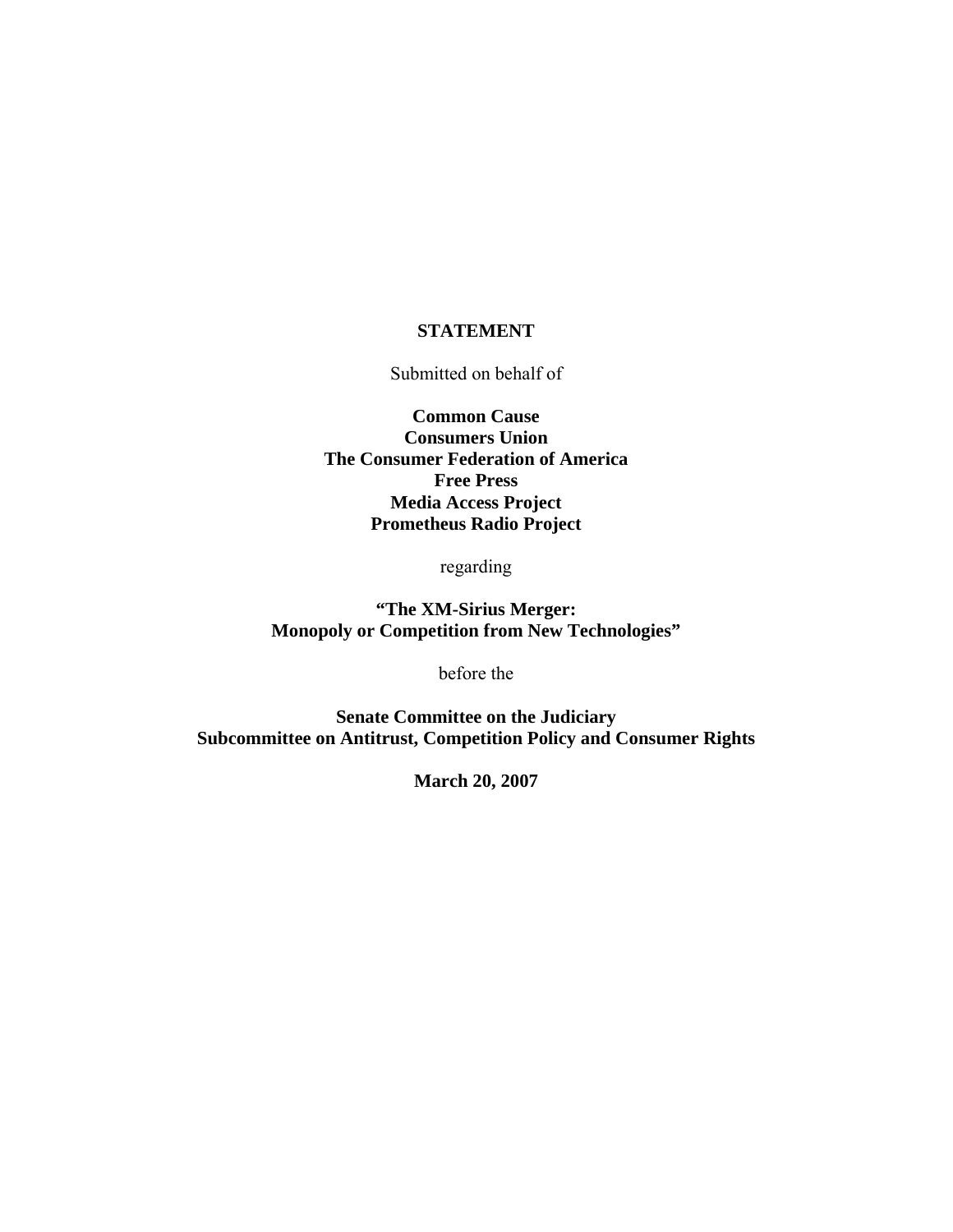## **STATEMENT**

Submitted on behalf of

**Common Cause Consumers Union The Consumer Federation of America Free Press Media Access Project Prometheus Radio Project** 

regarding

**"The XM-Sirius Merger: Monopoly or Competition from New Technologies"** 

before the

**Senate Committee on the Judiciary Subcommittee on Antitrust, Competition Policy and Consumer Rights** 

**March 20, 2007**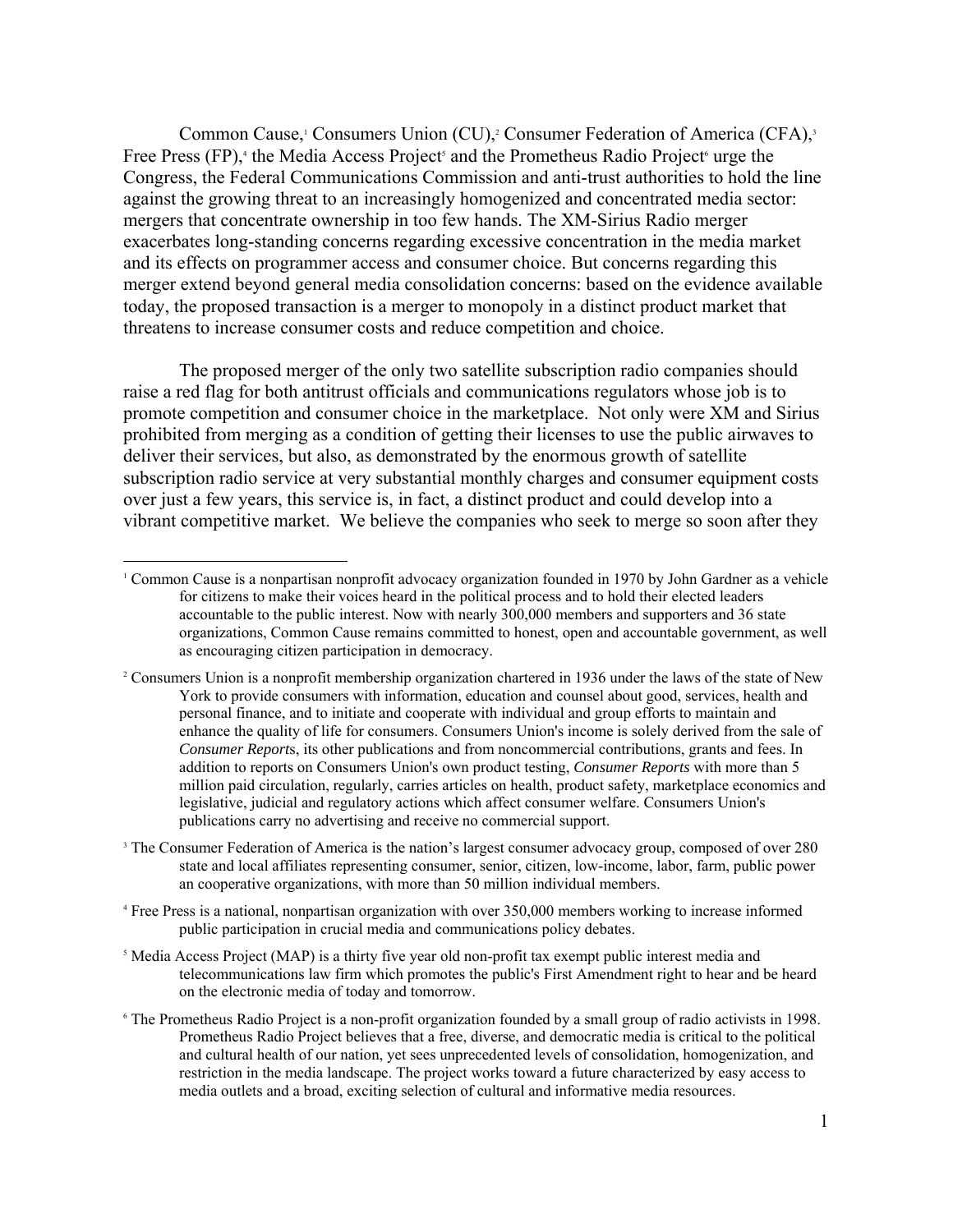Common Cause,<sup>1</sup> Consumers Union (CU),<sup>2</sup> Consumer Federation of America (CFA),<sup>3</sup> Free Press (FP),<sup>4</sup> the Media Access Project<sup>5</sup> and the Prometheus Radio Project<sup>6</sup> urge the Congress, the Federal Communications Commission and anti-trust authorities to hold the line against the growing threat to an increasingly homogenized and concentrated media sector: mergers that concentrate ownership in too few hands. The XM-Sirius Radio merger exacerbates long-standing concerns regarding excessive concentration in the media market and its effects on programmer access and consumer choice. But concerns regarding this merger extend beyond general media consolidation concerns: based on the evidence available today, the proposed transaction is a merger to monopoly in a distinct product market that threatens to increase consumer costs and reduce competition and choice.

The proposed merger of the only two satellite subscription radio companies should raise a red flag for both antitrust officials and communications regulators whose job is to promote competition and consumer choice in the marketplace. Not only were XM and Sirius prohibited from merging as a condition of getting their licenses to use the public airwaves to deliver their services, but also, as demonstrated by the enormous growth of satellite subscription radio service at very substantial monthly charges and consumer equipment costs over just a few years, this service is, in fact, a distinct product and could develop into a vibrant competitive market. We believe the companies who seek to merge so soon after they

 $\overline{a}$ 

- <sup>3</sup> The Consumer Federation of America is the nation's largest consumer advocacy group, composed of over 280 state and local affiliates representing consumer, senior, citizen, low-income, labor, farm, public power an cooperative organizations, with more than 50 million individual members.
- 4 Free Press is a national, nonpartisan organization with over 350,000 members working to increase informed public participation in crucial media and communications policy debates.
- <sup>5</sup> Media Access Project (MAP) is a thirty five year old non-profit tax exempt public interest media and telecommunications law firm which promotes the public's First Amendment right to hear and be heard on the electronic media of today and tomorrow.
- 6 The Prometheus Radio Project is a non-profit organization founded by a small group of radio activists in 1998. Prometheus Radio Project believes that a free, diverse, and democratic media is critical to the political and cultural health of our nation, yet sees unprecedented levels of consolidation, homogenization, and restriction in the media landscape. The project works toward a future characterized by easy access to media outlets and a broad, exciting selection of cultural and informative media resources.

<sup>1</sup> Common Cause is a nonpartisan nonprofit advocacy organization founded in 1970 by John Gardner as a vehicle for citizens to make their voices heard in the political process and to hold their elected leaders accountable to the public interest. Now with nearly 300,000 members and supporters and 36 state organizations, Common Cause remains committed to honest, open and accountable government, as well as encouraging citizen participation in democracy.

<sup>2</sup> Consumers Union is a nonprofit membership organization chartered in 1936 under the laws of the state of New York to provide consumers with information, education and counsel about good, services, health and personal finance, and to initiate and cooperate with individual and group efforts to maintain and enhance the quality of life for consumers. Consumers Union's income is solely derived from the sale of *Consumer Report*s, its other publications and from noncommercial contributions, grants and fees. In addition to reports on Consumers Union's own product testing, *Consumer Reports* with more than 5 million paid circulation, regularly, carries articles on health, product safety, marketplace economics and legislative, judicial and regulatory actions which affect consumer welfare. Consumers Union's publications carry no advertising and receive no commercial support.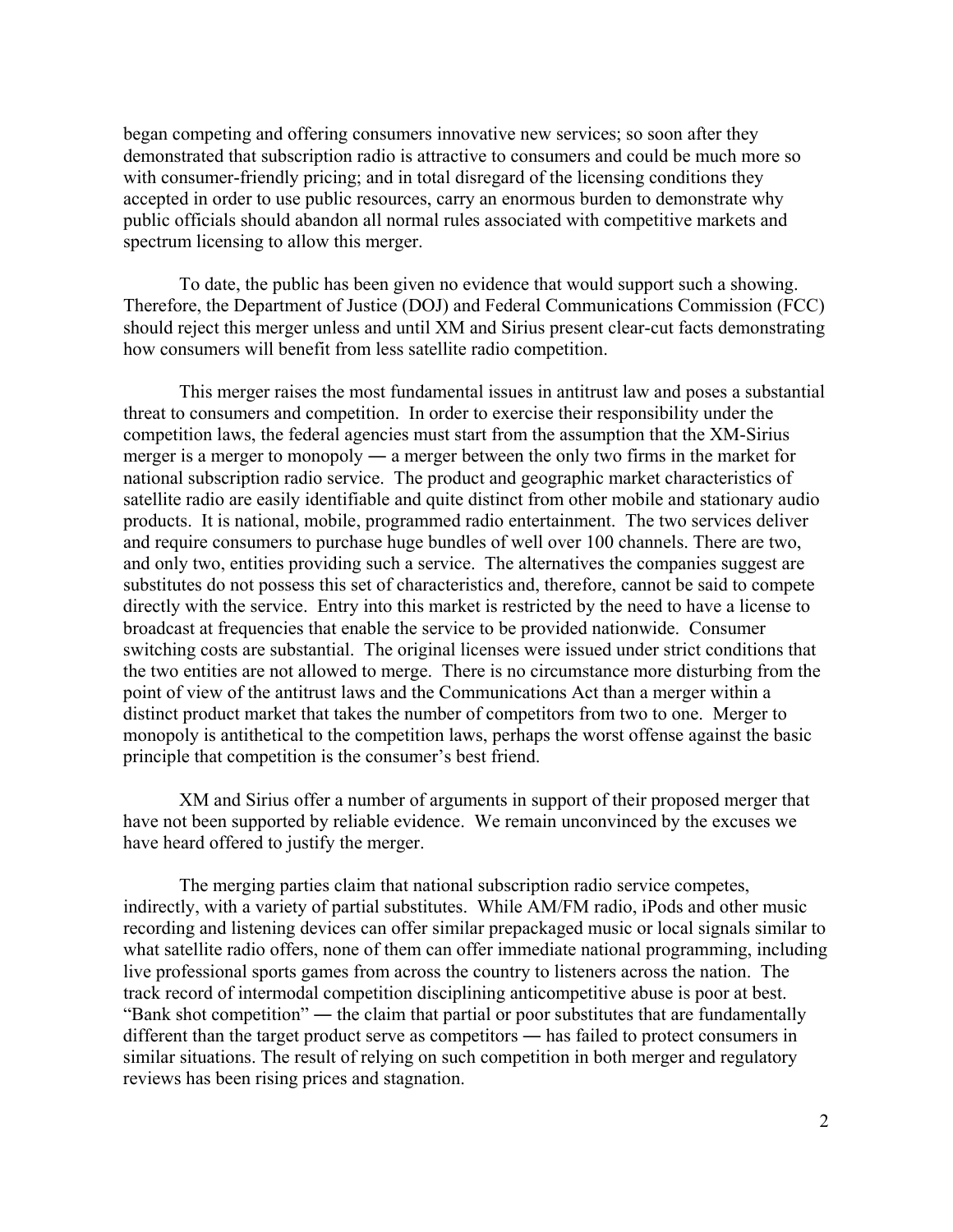began competing and offering consumers innovative new services; so soon after they demonstrated that subscription radio is attractive to consumers and could be much more so with consumer-friendly pricing; and in total disregard of the licensing conditions they accepted in order to use public resources, carry an enormous burden to demonstrate why public officials should abandon all normal rules associated with competitive markets and spectrum licensing to allow this merger.

 To date, the public has been given no evidence that would support such a showing. Therefore, the Department of Justice (DOJ) and Federal Communications Commission (FCC) should reject this merger unless and until XM and Sirius present clear-cut facts demonstrating how consumers will benefit from less satellite radio competition.

This merger raises the most fundamental issues in antitrust law and poses a substantial threat to consumers and competition. In order to exercise their responsibility under the competition laws, the federal agencies must start from the assumption that the XM-Sirius merger is a merger to monopoly ― a merger between the only two firms in the market for national subscription radio service. The product and geographic market characteristics of satellite radio are easily identifiable and quite distinct from other mobile and stationary audio products. It is national, mobile, programmed radio entertainment. The two services deliver and require consumers to purchase huge bundles of well over 100 channels. There are two, and only two, entities providing such a service. The alternatives the companies suggest are substitutes do not possess this set of characteristics and, therefore, cannot be said to compete directly with the service. Entry into this market is restricted by the need to have a license to broadcast at frequencies that enable the service to be provided nationwide. Consumer switching costs are substantial. The original licenses were issued under strict conditions that the two entities are not allowed to merge. There is no circumstance more disturbing from the point of view of the antitrust laws and the Communications Act than a merger within a distinct product market that takes the number of competitors from two to one. Merger to monopoly is antithetical to the competition laws, perhaps the worst offense against the basic principle that competition is the consumer's best friend.

XM and Sirius offer a number of arguments in support of their proposed merger that have not been supported by reliable evidence. We remain unconvinced by the excuses we have heard offered to justify the merger.

The merging parties claim that national subscription radio service competes, indirectly, with a variety of partial substitutes. While AM/FM radio, iPods and other music recording and listening devices can offer similar prepackaged music or local signals similar to what satellite radio offers, none of them can offer immediate national programming, including live professional sports games from across the country to listeners across the nation. The track record of intermodal competition disciplining anticompetitive abuse is poor at best. "Bank shot competition" ― the claim that partial or poor substitutes that are fundamentally different than the target product serve as competitors ― has failed to protect consumers in similar situations. The result of relying on such competition in both merger and regulatory reviews has been rising prices and stagnation.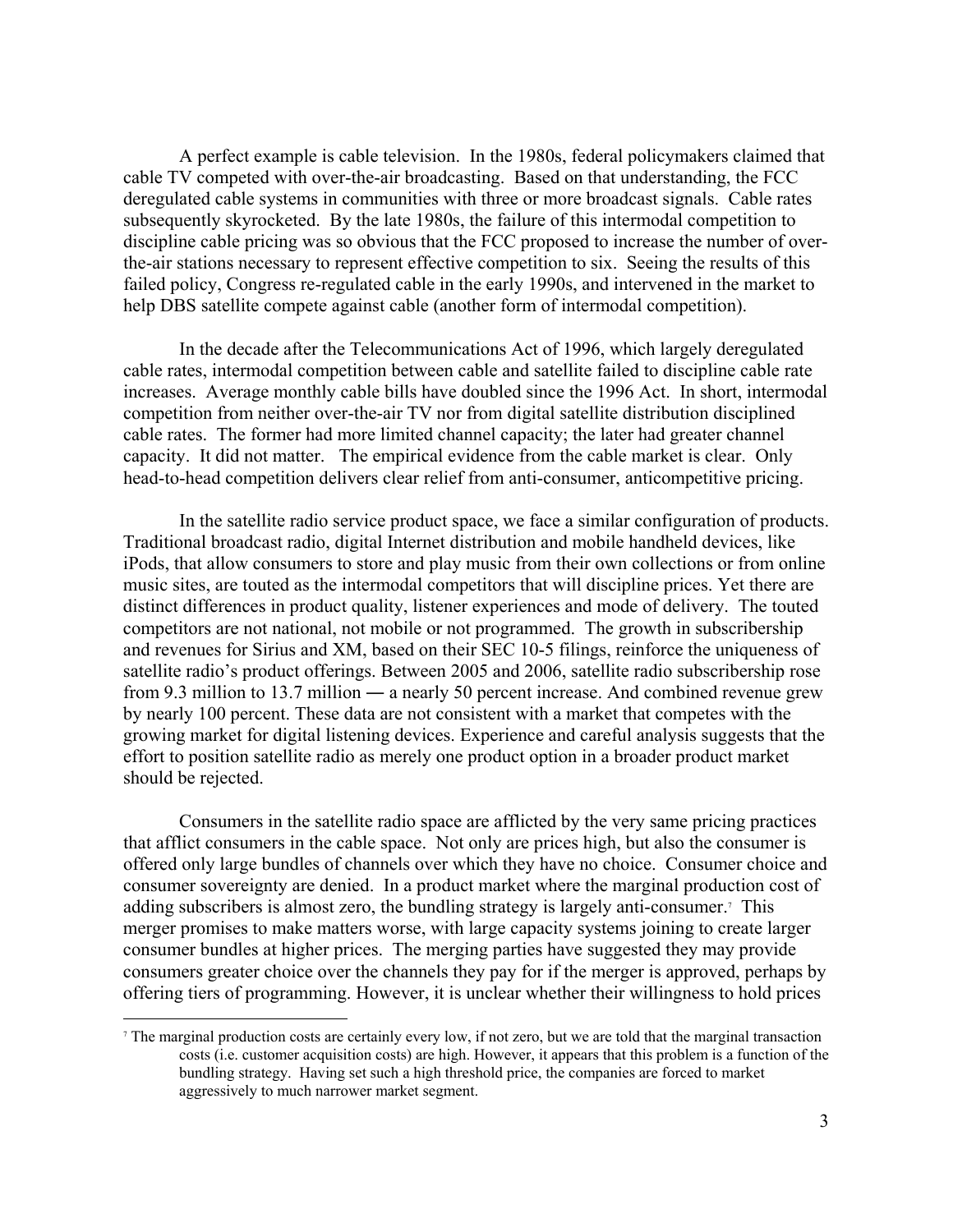A perfect example is cable television. In the 1980s, federal policymakers claimed that cable TV competed with over-the-air broadcasting. Based on that understanding, the FCC deregulated cable systems in communities with three or more broadcast signals. Cable rates subsequently skyrocketed. By the late 1980s, the failure of this intermodal competition to discipline cable pricing was so obvious that the FCC proposed to increase the number of overthe-air stations necessary to represent effective competition to six. Seeing the results of this failed policy, Congress re-regulated cable in the early 1990s, and intervened in the market to help DBS satellite compete against cable (another form of intermodal competition).

In the decade after the Telecommunications Act of 1996, which largely deregulated cable rates, intermodal competition between cable and satellite failed to discipline cable rate increases. Average monthly cable bills have doubled since the 1996 Act. In short, intermodal competition from neither over-the-air TV nor from digital satellite distribution disciplined cable rates. The former had more limited channel capacity; the later had greater channel capacity. It did not matter. The empirical evidence from the cable market is clear. Only head-to-head competition delivers clear relief from anti-consumer, anticompetitive pricing.

In the satellite radio service product space, we face a similar configuration of products. Traditional broadcast radio, digital Internet distribution and mobile handheld devices, like iPods, that allow consumers to store and play music from their own collections or from online music sites, are touted as the intermodal competitors that will discipline prices. Yet there are distinct differences in product quality, listener experiences and mode of delivery. The touted competitors are not national, not mobile or not programmed. The growth in subscribership and revenues for Sirius and XM, based on their SEC 10-5 filings, reinforce the uniqueness of satellite radio's product offerings. Between 2005 and 2006, satellite radio subscribership rose from 9.3 million to 13.7 million ― a nearly 50 percent increase. And combined revenue grew by nearly 100 percent. These data are not consistent with a market that competes with the growing market for digital listening devices. Experience and careful analysis suggests that the effort to position satellite radio as merely one product option in a broader product market should be rejected.

Consumers in the satellite radio space are afflicted by the very same pricing practices that afflict consumers in the cable space. Not only are prices high, but also the consumer is offered only large bundles of channels over which they have no choice. Consumer choice and consumer sovereignty are denied. In a product market where the marginal production cost of adding subscribers is almost zero, the bundling strategy is largely anti-consumer.<sup>7</sup> This merger promises to make matters worse, with large capacity systems joining to create larger consumer bundles at higher prices. The merging parties have suggested they may provide consumers greater choice over the channels they pay for if the merger is approved, perhaps by offering tiers of programming. However, it is unclear whether their willingness to hold prices

 $\overline{a}$ 

<sup>7</sup> The marginal production costs are certainly every low, if not zero, but we are told that the marginal transaction costs (i.e. customer acquisition costs) are high. However, it appears that this problem is a function of the bundling strategy. Having set such a high threshold price, the companies are forced to market aggressively to much narrower market segment.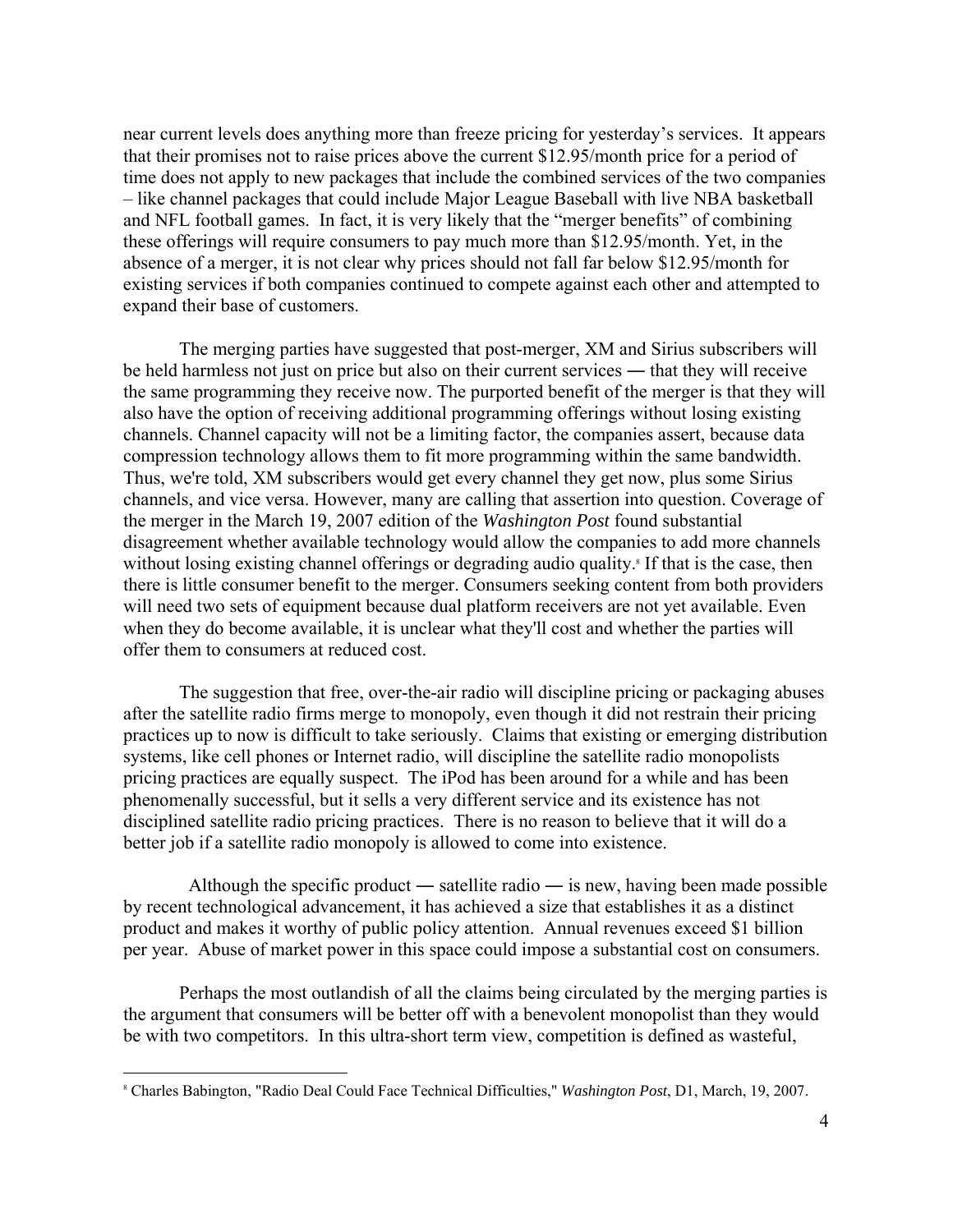near current levels does anything more than freeze pricing for yesterday's services. It appears that their promises not to raise prices above the current \$12.95/month price for a period of time does not apply to new packages that include the combined services of the two companies – like channel packages that could include Major League Baseball with live NBA basketball and NFL football games. In fact, it is very likely that the "merger benefits" of combining these offerings will require consumers to pay much more than \$12.95/month. Yet, in the absence of a merger, it is not clear why prices should not fall far below \$12.95/month for existing services if both companies continued to compete against each other and attempted to expand their base of customers.

The merging parties have suggested that post-merger, XM and Sirius subscribers will be held harmless not just on price but also on their current services ― that they will receive the same programming they receive now. The purported benefit of the merger is that they will also have the option of receiving additional programming offerings without losing existing channels. Channel capacity will not be a limiting factor, the companies assert, because data compression technology allows them to fit more programming within the same bandwidth. Thus, we're told, XM subscribers would get every channel they get now, plus some Sirius channels, and vice versa. However, many are calling that assertion into question. Coverage of the merger in the March 19, 2007 edition of the *Washington Post* found substantial disagreement whether available technology would allow the companies to add more channels without losing existing channel offerings or degrading audio quality.<sup>8</sup> If that is the case, then there is little consumer benefit to the merger. Consumers seeking content from both providers will need two sets of equipment because dual platform receivers are not yet available. Even when they do become available, it is unclear what they'll cost and whether the parties will offer them to consumers at reduced cost.

The suggestion that free, over-the-air radio will discipline pricing or packaging abuses after the satellite radio firms merge to monopoly, even though it did not restrain their pricing practices up to now is difficult to take seriously. Claims that existing or emerging distribution systems, like cell phones or Internet radio, will discipline the satellite radio monopolists pricing practices are equally suspect. The iPod has been around for a while and has been phenomenally successful, but it sells a very different service and its existence has not disciplined satellite radio pricing practices. There is no reason to believe that it will do a better job if a satellite radio monopoly is allowed to come into existence.

Although the specific product — satellite radio — is new, having been made possible by recent technological advancement, it has achieved a size that establishes it as a distinct product and makes it worthy of public policy attention. Annual revenues exceed \$1 billion per year. Abuse of market power in this space could impose a substantial cost on consumers.

Perhaps the most outlandish of all the claims being circulated by the merging parties is the argument that consumers will be better off with a benevolent monopolist than they would be with two competitors. In this ultra-short term view, competition is defined as wasteful,

 $\overline{a}$ 

<sup>8</sup> Charles Babington, "Radio Deal Could Face Technical Difficulties," *Washington Post*, D1, March, 19, 2007.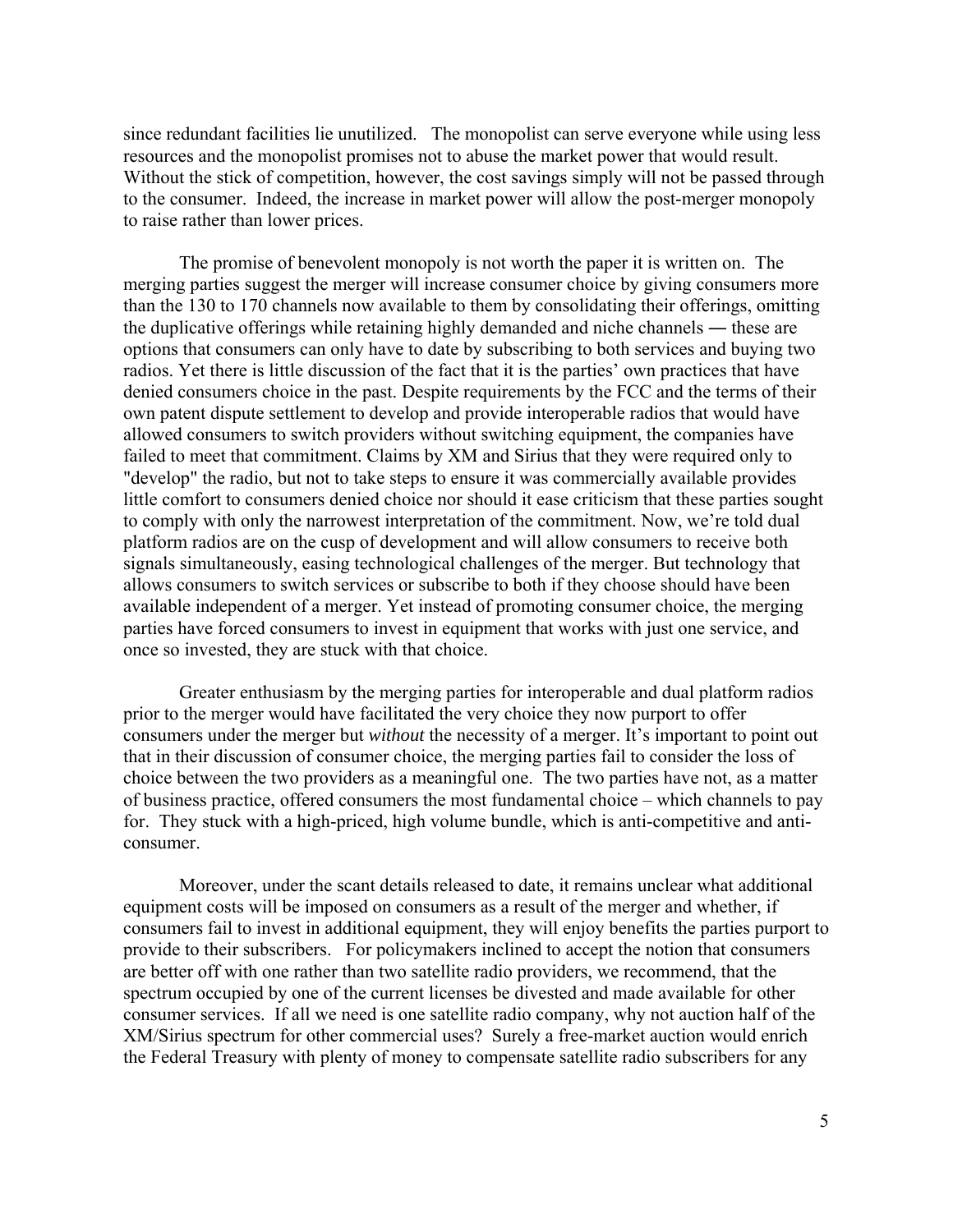since redundant facilities lie unutilized. The monopolist can serve everyone while using less resources and the monopolist promises not to abuse the market power that would result. Without the stick of competition, however, the cost savings simply will not be passed through to the consumer. Indeed, the increase in market power will allow the post-merger monopoly to raise rather than lower prices.

The promise of benevolent monopoly is not worth the paper it is written on. The merging parties suggest the merger will increase consumer choice by giving consumers more than the 130 to 170 channels now available to them by consolidating their offerings, omitting the duplicative offerings while retaining highly demanded and niche channels ― these are options that consumers can only have to date by subscribing to both services and buying two radios. Yet there is little discussion of the fact that it is the parties' own practices that have denied consumers choice in the past. Despite requirements by the FCC and the terms of their own patent dispute settlement to develop and provide interoperable radios that would have allowed consumers to switch providers without switching equipment, the companies have failed to meet that commitment. Claims by XM and Sirius that they were required only to "develop" the radio, but not to take steps to ensure it was commercially available provides little comfort to consumers denied choice nor should it ease criticism that these parties sought to comply with only the narrowest interpretation of the commitment. Now, we're told dual platform radios are on the cusp of development and will allow consumers to receive both signals simultaneously, easing technological challenges of the merger. But technology that allows consumers to switch services or subscribe to both if they choose should have been available independent of a merger. Yet instead of promoting consumer choice, the merging parties have forced consumers to invest in equipment that works with just one service, and once so invested, they are stuck with that choice.

Greater enthusiasm by the merging parties for interoperable and dual platform radios prior to the merger would have facilitated the very choice they now purport to offer consumers under the merger but *without* the necessity of a merger. It's important to point out that in their discussion of consumer choice, the merging parties fail to consider the loss of choice between the two providers as a meaningful one. The two parties have not, as a matter of business practice, offered consumers the most fundamental choice – which channels to pay for. They stuck with a high-priced, high volume bundle, which is anti-competitive and anticonsumer.

Moreover, under the scant details released to date, it remains unclear what additional equipment costs will be imposed on consumers as a result of the merger and whether, if consumers fail to invest in additional equipment, they will enjoy benefits the parties purport to provide to their subscribers. For policymakers inclined to accept the notion that consumers are better off with one rather than two satellite radio providers, we recommend, that the spectrum occupied by one of the current licenses be divested and made available for other consumer services. If all we need is one satellite radio company, why not auction half of the XM/Sirius spectrum for other commercial uses? Surely a free-market auction would enrich the Federal Treasury with plenty of money to compensate satellite radio subscribers for any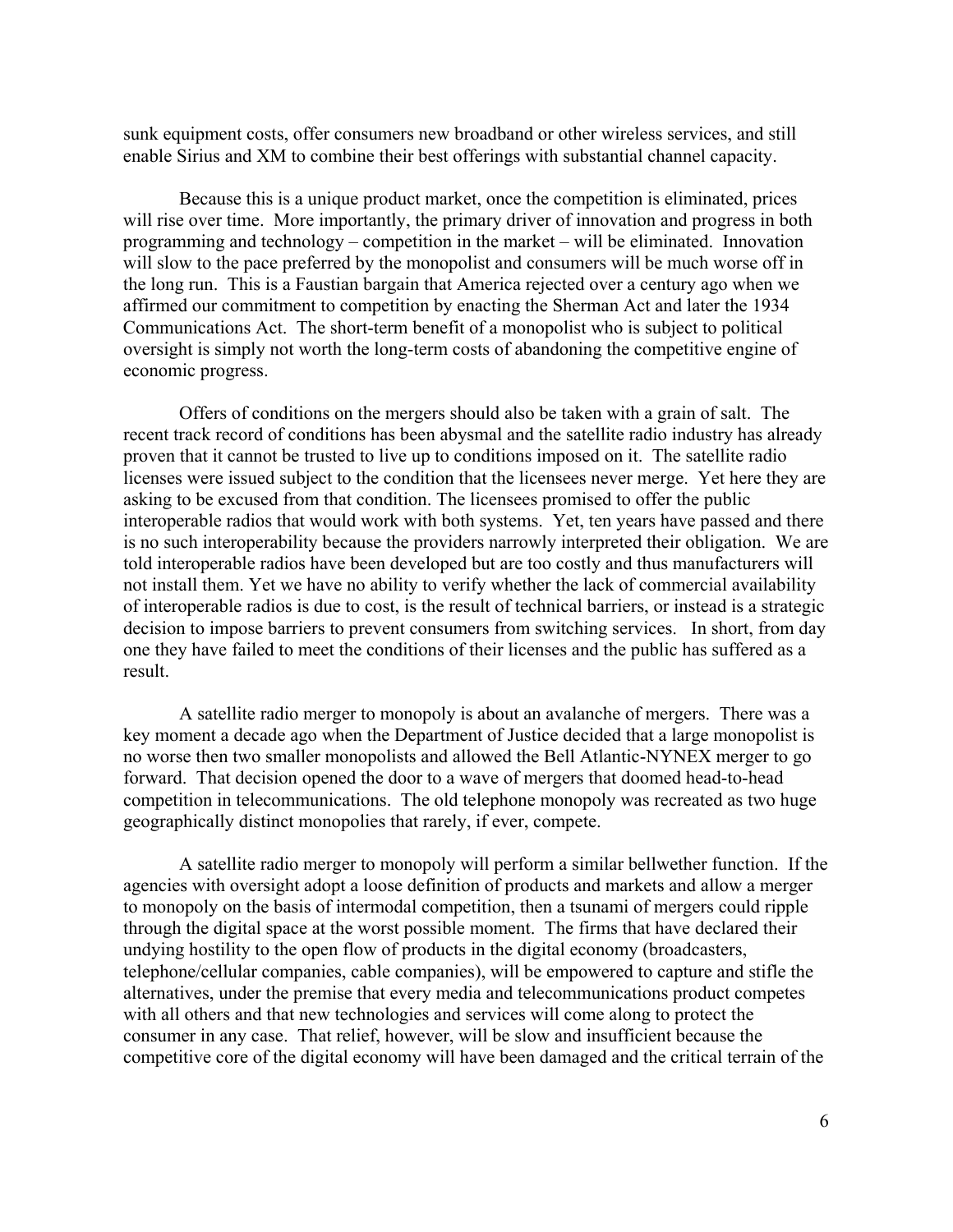sunk equipment costs, offer consumers new broadband or other wireless services, and still enable Sirius and XM to combine their best offerings with substantial channel capacity.

Because this is a unique product market, once the competition is eliminated, prices will rise over time. More importantly, the primary driver of innovation and progress in both programming and technology – competition in the market – will be eliminated. Innovation will slow to the pace preferred by the monopolist and consumers will be much worse off in the long run. This is a Faustian bargain that America rejected over a century ago when we affirmed our commitment to competition by enacting the Sherman Act and later the 1934 Communications Act. The short-term benefit of a monopolist who is subject to political oversight is simply not worth the long-term costs of abandoning the competitive engine of economic progress.

Offers of conditions on the mergers should also be taken with a grain of salt. The recent track record of conditions has been abysmal and the satellite radio industry has already proven that it cannot be trusted to live up to conditions imposed on it. The satellite radio licenses were issued subject to the condition that the licensees never merge. Yet here they are asking to be excused from that condition. The licensees promised to offer the public interoperable radios that would work with both systems. Yet, ten years have passed and there is no such interoperability because the providers narrowly interpreted their obligation. We are told interoperable radios have been developed but are too costly and thus manufacturers will not install them. Yet we have no ability to verify whether the lack of commercial availability of interoperable radios is due to cost, is the result of technical barriers, or instead is a strategic decision to impose barriers to prevent consumers from switching services. In short, from day one they have failed to meet the conditions of their licenses and the public has suffered as a result.

A satellite radio merger to monopoly is about an avalanche of mergers. There was a key moment a decade ago when the Department of Justice decided that a large monopolist is no worse then two smaller monopolists and allowed the Bell Atlantic-NYNEX merger to go forward. That decision opened the door to a wave of mergers that doomed head-to-head competition in telecommunications. The old telephone monopoly was recreated as two huge geographically distinct monopolies that rarely, if ever, compete.

A satellite radio merger to monopoly will perform a similar bellwether function. If the agencies with oversight adopt a loose definition of products and markets and allow a merger to monopoly on the basis of intermodal competition, then a tsunami of mergers could ripple through the digital space at the worst possible moment. The firms that have declared their undying hostility to the open flow of products in the digital economy (broadcasters, telephone/cellular companies, cable companies), will be empowered to capture and stifle the alternatives, under the premise that every media and telecommunications product competes with all others and that new technologies and services will come along to protect the consumer in any case. That relief, however, will be slow and insufficient because the competitive core of the digital economy will have been damaged and the critical terrain of the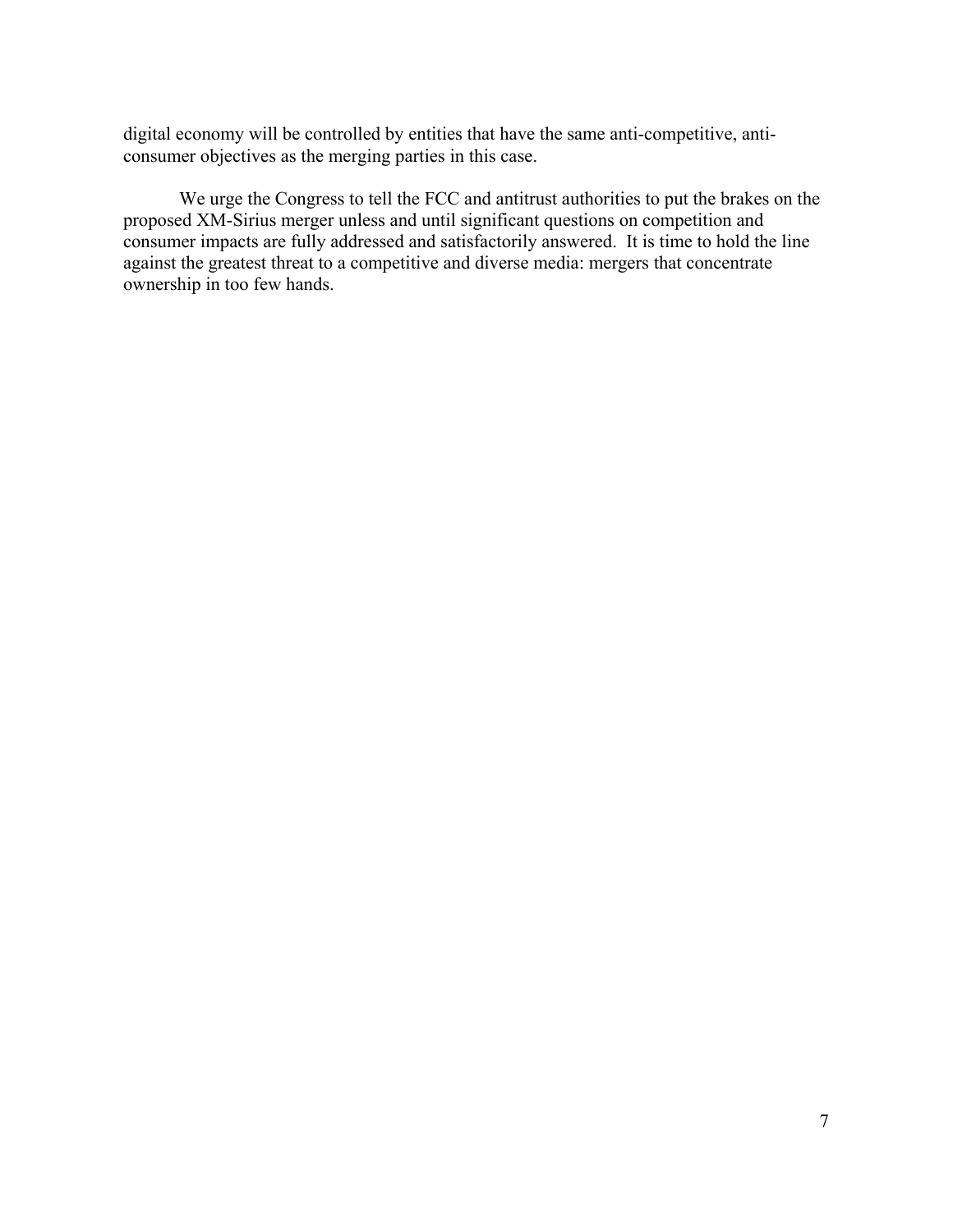digital economy will be controlled by entities that have the same anti-competitive, anticonsumer objectives as the merging parties in this case.

 We urge the Congress to tell the FCC and antitrust authorities to put the brakes on the proposed XM-Sirius merger unless and until significant questions on competition and consumer impacts are fully addressed and satisfactorily answered. It is time to hold the line against the greatest threat to a competitive and diverse media: mergers that concentrate ownership in too few hands.